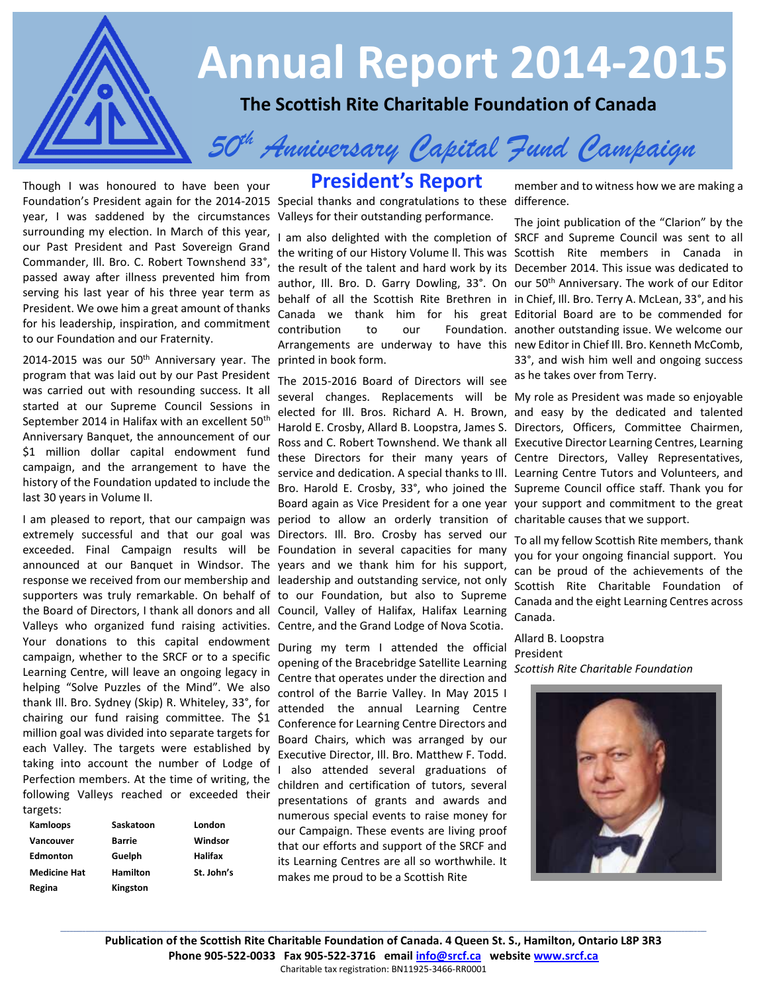

Foundation's President again for the 2014-2015 Special thanks and congratulations to these difference.<br>
Vear, I was saddened by the circumstances Valleys for their outstanding performance. Though I was honoured to have been your year, I was saddened by the circumstances surrounding my election. In March of this year, our Past President and Past Sovereign Grand Commander, Ill. Bro. C. Robert Townshend 33°, passed away after illness prevented him from serving his last year of his three year term as President. We owe him a great amount of thanks for his leadership, inspiration, and commitment to our Foundation and our Fraternity.

2014-2015 was our 50<sup>th</sup> Anniversary year. The printed in book form. program that was laid out by our Past President was carried out with resounding success. It all started at our Supreme Council Sessions in September 2014 in Halifax with an excellent 50<sup>th</sup> Anniversary Banquet, the announcement of our \$1 million dollar capital endowment fund campaign, and the arrangement to have the history of the Foundation updated to include the last 30 years in Volume II.

I am pleased to report, that our campaign was period to allow an orderly transition of charitable causes that we support. extremely successful and that our goal was Directors. Ill. Bro. Crosby has served our exceeded. Final Campaign results will be Foundation in several capacities for many announced at our Banquet in Windsor. The years and we thank him for his support, response we received from our membership and leadership and outstanding service, not only supporters was truly remarkable. On behalf of to our Foundation, but also to Supreme the Board of Directors, I thank all donors and all Council, Valley of Halifax, Halifax Learning Valleys who organized fund raising activities. Centre, and the Grand Lodge of Nova Scotia. Your donations to this capital endowment campaign, whether to the SRCF or to a specific Learning Centre, will leave an ongoing legacy in helping "Solve Puzzles of the Mind". We also thank Ill. Bro. Sydney (Skip) R. Whiteley, 33°, for chairing our fund raising committee. The \$1 million goal was divided into separate targets for each Valley. The targets were established by taking into account the number of Lodge of Perfection members. At the time of writing, the following Valleys reached or exceeded their targets:

| Kamloops            | Saskatoon       | London     |
|---------------------|-----------------|------------|
| Vancouver           | <b>Barrie</b>   | Windsor    |
| <b>Edmonton</b>     | Guelph          | Halifax    |
| <b>Medicine Hat</b> | <b>Hamilton</b> | St. John's |
| Regina              | Kingston        |            |

## **President's Report**

Valleys for their outstanding performance.

The 2015-2016 Board of Directors will see

During my term I attended the official opening of the Bracebridge Satellite Learning *Scottish Rite Charitable Foundation* Centre that operates under the direction and control of the Barrie Valley. In May 2015 I attended the annual Learning Centre Conference for Learning Centre Directors and Board Chairs, which was arranged by our Executive Director, Ill. Bro. Matthew F. Todd. I also attended several graduations of children and certification of tutors, several presentations of grants and awards and numerous special events to raise money for our Campaign. These events are living proof that our efforts and support of the SRCF and its Learning Centres are all so worthwhile. It makes me proud to be a Scottish Rite

member and to witness how we are making a

I am also delighted with the completion of SRCF and Supreme Council was sent to all the writing of our History Volume ll. This was Scottish Rite members in Canada in the result of the talent and hard work by its December 2014. This issue was dedicated to author, Ill. Bro. D. Garry Dowling, 33°. On our 50<sup>th</sup> Anniversary. The work of our Editor behalf of all the Scottish Rite Brethren in in Chief, Ill. Bro. Terry A. McLean, 33°, and his Canada we thank him for his great Editorial Board are to be commended for contribution to our Foundation. another outstanding issue. We welcome our Arrangements are underway to have this new Editor in Chief Ill. Bro. Kenneth McComb, The joint publication of the "Clarion" by the 33°, and wish him well and ongoing success as he takes over from Terry.

several changes. Replacements will be My role as President was made so enjoyable elected for Ill. Bros. Richard A. H. Brown, and easy by the dedicated and talented Harold E. Crosby, Allard B. Loopstra, James S. Directors, Officers, Committee Chairmen, Ross and C. Robert Townshend. We thank all Executive Director Learning Centres, Learning these Directors for their many years of Centre Directors, Valley Representatives, service and dedication. A special thanks to Ill. Learning Centre Tutors and Volunteers, and Bro. Harold E. Crosby, 33°, who joined the Supreme Council office staff. Thank you for Board again as Vice President for a one year your support and commitment to the great

> To all my fellow Scottish Rite members, thank you for your ongoing financial support. You can be proud of the achievements of the Scottish Rite Charitable Foundation of Canada and the eight Learning Centres across Canada.

Allard B. Loopstra President

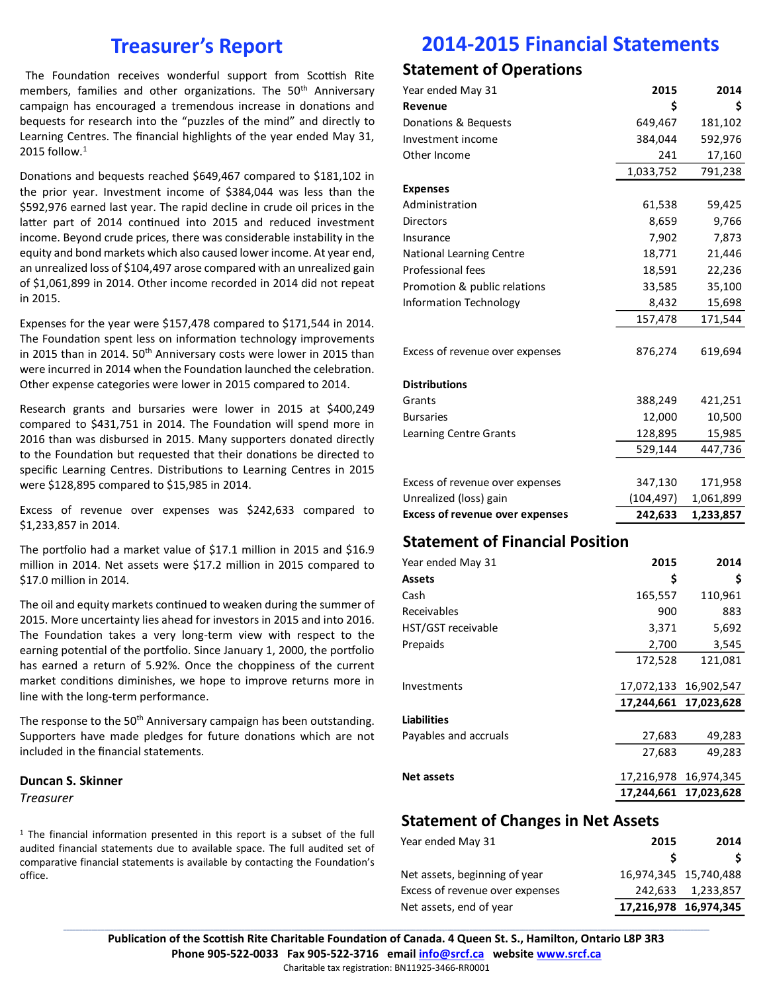## **Treasurer's Report**

The Foundation receives wonderful support from Scottish Rite members, families and other organizations. The 50<sup>th</sup> Anniversary campaign has encouraged a tremendous increase in donations and bequests for research into the "puzzles of the mind" and directly to Learning Centres. The financial highlights of the year ended May 31, 2015 follow. $1$ 

Donations and bequests reached \$649,467 compared to \$181,102 in the prior year. Investment income of \$384,044 was less than the \$592,976 earned last year. The rapid decline in crude oil prices in the latter part of 2014 continued into 2015 and reduced investment income. Beyond crude prices, there was considerable instability in the equity and bond markets which also caused lower income. At year end, an unrealized loss of \$104,497 arose compared with an unrealized gain of \$1,061,899 in 2014. Other income recorded in 2014 did not repeat in 2015.

Expenses for the year were \$157,478 compared to \$171,544 in 2014. The Foundation spent less on information technology improvements in 2015 than in 2014. 50<sup>th</sup> Anniversary costs were lower in 2015 than were incurred in 2014 when the Foundation launched the celebration. Other expense categories were lower in 2015 compared to 2014.

Research grants and bursaries were lower in 2015 at \$400,249 compared to \$431,751 in 2014. The Foundation will spend more in 2016 than was disbursed in 2015. Many supporters donated directly to the Foundation but requested that their donations be directed to specific Learning Centres. Distributions to Learning Centres in 2015 were \$128,895 compared to \$15,985 in 2014.

Excess of revenue over expenses was \$242,633 compared to \$1,233,857 in 2014.

The portfolio had a market value of \$17.1 million in 2015 and \$16.9 million in 2014. Net assets were \$17.2 million in 2015 compared to \$17.0 million in 2014.

The oil and equity markets continued to weaken during the summer of 2015. More uncertainty lies ahead for investors in 2015 and into 2016. The Foundation takes a very long-term view with respect to the earning potential of the portfolio. Since January 1, 2000, the portfolio has earned a return of 5.92%. Once the choppiness of the current market conditions diminishes, we hope to improve returns more in line with the long-term performance.

The response to the 50<sup>th</sup> Anniversary campaign has been outstanding. Supporters have made pledges for future donations which are not included in the financial statements.

### **Duncan S. Skinner** *Treasurer*

<sup>1</sup> The financial information presented in this report is a subset of the full audited financial statements due to available space. The full audited set of comparative financial statements is available by contacting the Foundation's office.

## **2014-2015 Financial Statements**

### **Statement of Operations**

| Year ended May 31                      | 2015       | 2014      |  |  |
|----------------------------------------|------------|-----------|--|--|
| Revenue                                | \$         | \$        |  |  |
| Donations & Bequests                   | 649,467    | 181,102   |  |  |
| Investment income                      | 384,044    | 592,976   |  |  |
| Other Income                           | 241        | 17,160    |  |  |
|                                        | 1,033,752  | 791,238   |  |  |
| <b>Expenses</b>                        |            |           |  |  |
| Administration                         | 61,538     | 59,425    |  |  |
| <b>Directors</b>                       | 8,659      | 9,766     |  |  |
| Insurance                              | 7,902      | 7,873     |  |  |
| <b>National Learning Centre</b>        | 18,771     | 21,446    |  |  |
| <b>Professional fees</b>               | 18,591     | 22,236    |  |  |
| Promotion & public relations           | 33,585     | 35,100    |  |  |
| <b>Information Technology</b>          | 8,432      | 15,698    |  |  |
|                                        | 157,478    | 171,544   |  |  |
|                                        |            |           |  |  |
| Excess of revenue over expenses        | 876,274    | 619,694   |  |  |
|                                        |            |           |  |  |
| <b>Distributions</b>                   |            |           |  |  |
| Grants                                 | 388,249    | 421,251   |  |  |
| <b>Bursaries</b>                       | 12,000     | 10,500    |  |  |
| Learning Centre Grants                 | 128,895    | 15,985    |  |  |
|                                        | 529,144    | 447,736   |  |  |
|                                        |            |           |  |  |
| Excess of revenue over expenses        | 347,130    | 171,958   |  |  |
| Unrealized (loss) gain                 | (104, 497) | 1,061,899 |  |  |
| <b>Excess of revenue over expenses</b> | 242,633    | 1,233,857 |  |  |
| <b>Statement of Financial Position</b> |            |           |  |  |
| Year ended May 31                      | 2015       | 2014      |  |  |
| <b>Assets</b>                          | \$         | \$        |  |  |
| Cash                                   | 165,557    | 110,961   |  |  |
| Receivables                            | 900        | 883       |  |  |
| HST/GST receivable                     | 3,371      | 5,692     |  |  |
| Prepaids                               | 2.700      | 3.545     |  |  |

### **Statement of Changes in Net Assets**

| Year ended May 31               | 2015                  | 2014                  |
|---------------------------------|-----------------------|-----------------------|
|                                 |                       |                       |
| Net assets, beginning of year   |                       | 16,974,345 15,740,488 |
| Excess of revenue over expenses |                       | 242,633 1,233,857     |
| Net assets, end of year         | 17,216,978 16,974,345 |                       |

Investments 17,072,133 16,902,547

Payables and accruals 27,683 49,283

**Net assets** 17,216,978 16,974,345

172,528 121,081

**17,244,661 17,023,628**

**17,244,661 17,023,628**

27,683 49,283

**Publication of the Scottish Rite Charitable Foundation of Canada. 4 Queen St. S., Hamilton, Ontario L8P 3R3 Phone 905-522-0033 Fax 905-522-3716 email [info@srcf.ca](mailto:info@srcf.ca) website [www.srcf.ca](http://www.srcf.ca/)** Charitable tax registration: BN11925-3466-RR0001

**\_\_\_\_\_\_\_\_\_\_\_\_\_\_\_\_\_\_\_\_\_\_\_\_\_\_\_\_\_\_\_\_\_\_\_\_\_\_\_\_\_\_\_\_\_\_\_\_\_\_\_\_\_\_\_\_\_\_\_\_\_\_\_\_\_\_\_\_\_\_\_\_\_\_\_\_\_\_\_\_\_\_\_\_\_\_\_\_\_\_\_\_\_\_\_\_\_\_\_\_\_\_\_\_\_\_\_\_\_\_\_\_\_\_\_\_\_\_\_\_\_\_\_\_\_\_\_\_\_\_\_\_\_\_\_\_\_\_\_\_\_\_\_\_\_\_\_\_\_\_\_\_\_\_\_\_\_\_\_\_\_\_\_\_\_\_\_\_\_\_\_\_\_\_\_\_\_\_\_\_\_\_\_\_\_\_\_\_\_\_\_\_\_\_\_\_\_\_\_\_\_\_\_\_\_\_\_**

**Liabilities**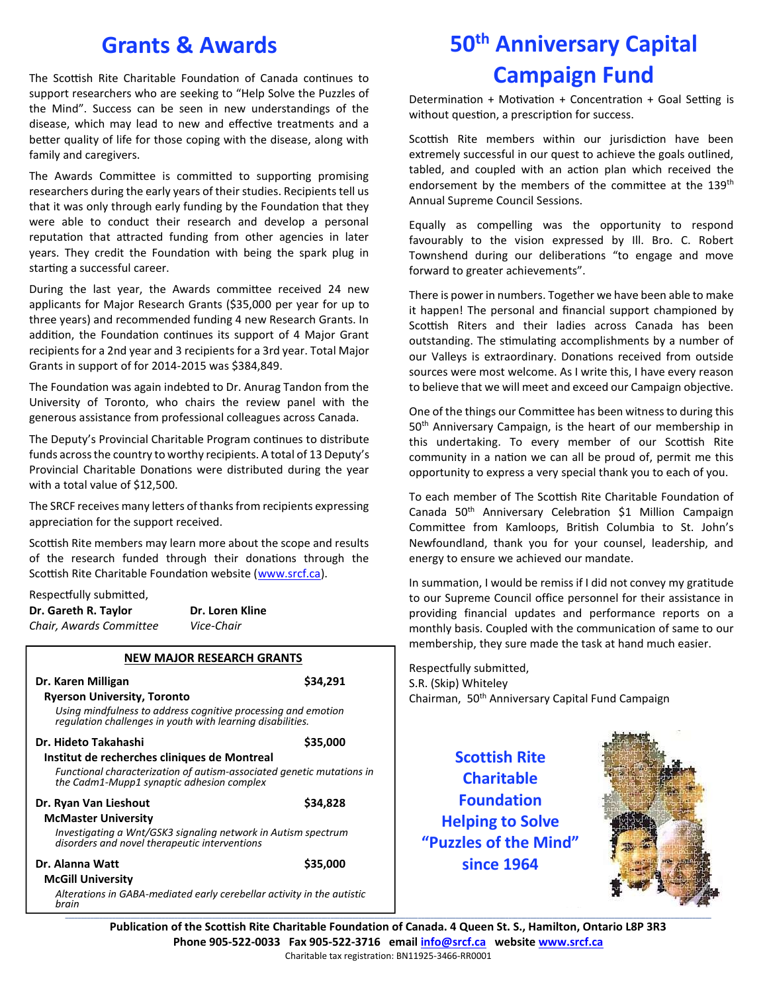## **Grants & Awards**

The Scottish Rite Charitable Foundation of Canada continues to support researchers who are seeking to "Help Solve the Puzzles of the Mind". Success can be seen in new understandings of the disease, which may lead to new and effective treatments and a better quality of life for those coping with the disease, along with family and caregivers.

The Awards Committee is committed to supporting promising researchers during the early years of their studies. Recipients tell us that it was only through early funding by the Foundation that they were able to conduct their research and develop a personal reputation that attracted funding from other agencies in later years. They credit the Foundation with being the spark plug in starting a successful career.

During the last year, the Awards committee received 24 new applicants for Major Research Grants (\$35,000 per year for up to three years) and recommended funding 4 new Research Grants. In addition, the Foundation continues its support of 4 Major Grant recipients for a 2nd year and 3 recipients for a 3rd year. Total Major Grants in support of for 2014-2015 was \$384,849.

The Foundation was again indebted to Dr. Anurag Tandon from the University of Toronto, who chairs the review panel with the generous assistance from professional colleagues across Canada.

The Deputy's Provincial Charitable Program continues to distribute funds across the country to worthy recipients. A total of 13 Deputy's Provincial Charitable Donations were distributed during the year with a total value of \$12,500.

The SRCF receives many letters of thanks from recipients expressing appreciation for the support received.

Scottish Rite members may learn more about the scope and results of the research funded through their donations through the Scottish Rite Charitable Foundation website [\(www.srcf.ca\)](http://www.srcf.ca/).

Respectfully submitted,

| Dr. Gareth R. Taylor    | Dr. Loren Kline |
|-------------------------|-----------------|
| Chair, Awards Committee | Vice-Chair      |

| <b>NEW MAJOR RESEARCH GRANTS</b>                                                                                            |          |
|-----------------------------------------------------------------------------------------------------------------------------|----------|
| Dr. Karen Milligan<br><b>Ryerson University, Toronto</b>                                                                    | \$34.291 |
| Using mindfulness to address cognitive processing and emotion<br>regulation challenges in youth with learning disabilities. |          |
| Dr. Hideto Takahashi                                                                                                        | \$35,000 |
| Institut de recherches cliniques de Montreal                                                                                |          |
| Functional characterization of autism-associated genetic mutations in<br>the Cadm1-Mupp1 synaptic adhesion complex          |          |
| Dr. Ryan Van Lieshout                                                                                                       | \$34,828 |
| <b>McMaster University</b>                                                                                                  |          |
| Investigating a Wnt/GSK3 signaling network in Autism spectrum<br>disorders and novel therapeutic interventions              |          |
| Dr. Alanna Watt                                                                                                             | \$35,000 |
| <b>McGill University</b>                                                                                                    |          |
| Alterations in GABA-mediated early cerebellar activity in the autistic<br>brain                                             |          |

# **50th Anniversary Capital Campaign Fund**

Determination + Motivation + Concentration + Goal Setting is without question, a prescription for success.

Scottish Rite members within our jurisdiction have been extremely successful in our quest to achieve the goals outlined, tabled, and coupled with an action plan which received the endorsement by the members of the committee at the 139<sup>th</sup> Annual Supreme Council Sessions.

Equally as compelling was the opportunity to respond favourably to the vision expressed by Ill. Bro. C. Robert Townshend during our deliberations "to engage and move forward to greater achievements".

There is power in numbers. Together we have been able to make it happen! The personal and financial support championed by Scottish Riters and their ladies across Canada has been outstanding. The stimulating accomplishments by a number of our Valleys is extraordinary. Donations received from outside sources were most welcome. As I write this, I have every reason to believe that we will meet and exceed our Campaign objective.

One of the things our Committee has been witness to during this 50<sup>th</sup> Anniversary Campaign, is the heart of our membership in this undertaking. To every member of our Scottish Rite community in a nation we can all be proud of, permit me this opportunity to express a very special thank you to each of you.

To each member of The Scottish Rite Charitable Foundation of Canada 50th Anniversary Celebration \$1 Million Campaign Committee from Kamloops, British Columbia to St. John's Newfoundland, thank you for your counsel, leadership, and energy to ensure we achieved our mandate.

In summation, I would be remiss if I did not convey my gratitude to our Supreme Council office personnel for their assistance in providing financial updates and performance reports on a monthly basis. Coupled with the communication of same to our membership, they sure made the task at hand much easier.

Respectfully submitted, S.R. (Skip) Whiteley Chairman, 50th Anniversary Capital Fund Campaign

## **Scottish Rite Charitable Foundation Helping to Solve "Puzzles of the Mind" since 1964**



**Publication of the Scottish Rite Charitable Foundation of Canada. 4 Queen St. S., Hamilton, Ontario L8P 3R3 Phone 905-522-0033 Fax 905-522-3716 email [info@srcf.ca](mailto:info@srcf.ca) websit[e www.srcf.ca](http://www.srcf.ca/)** Charitable tax registration: BN11925-3466-RR0001